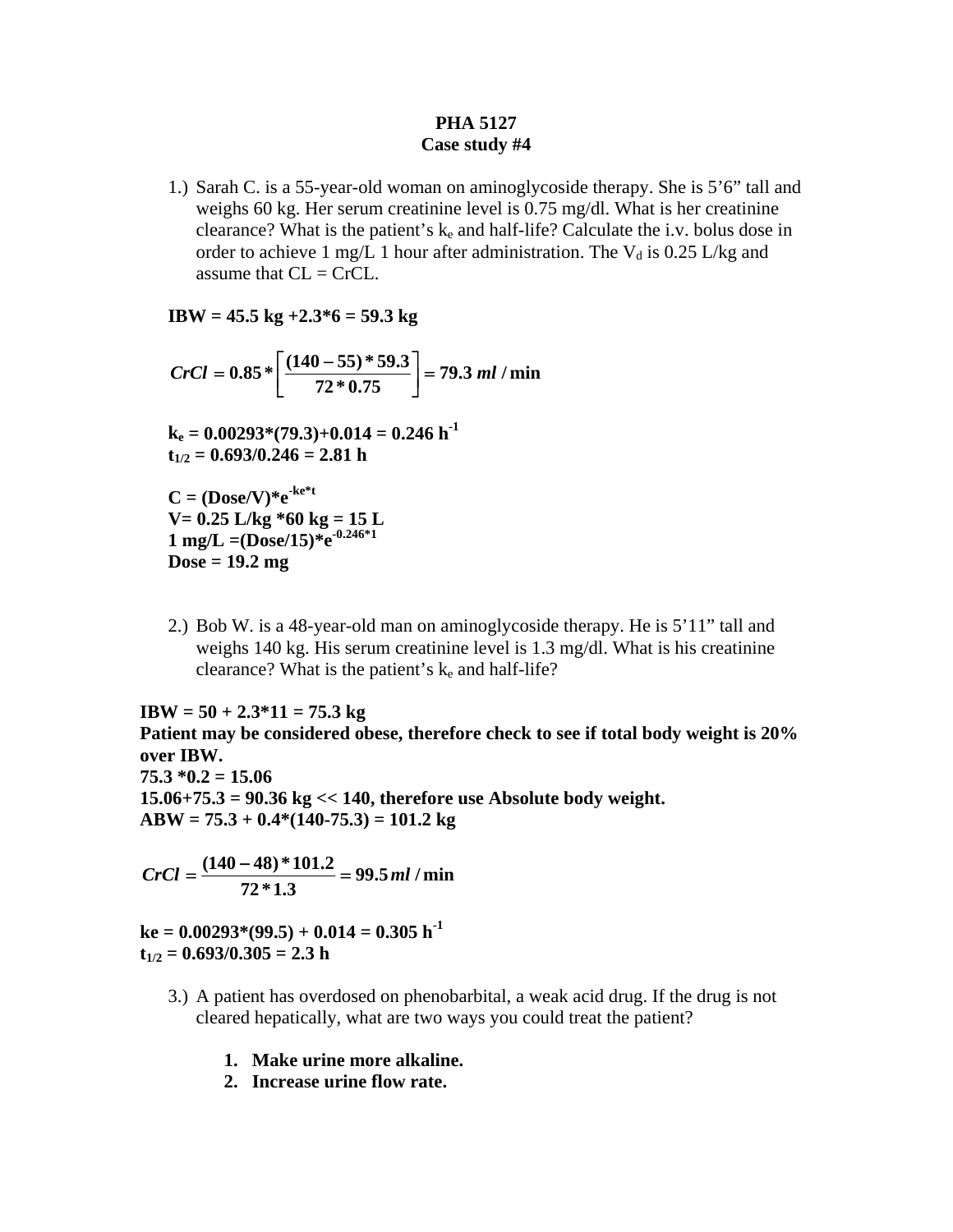## **PHA 5127 Case study #4**

1.) Sarah C. is a 55-year-old woman on aminoglycoside therapy. She is 5'6" tall and weighs 60 kg. Her serum creatinine level is 0.75 mg/dl. What is her creatinine clearance? What is the patient's  $k_e$  and half-life? Calculate the i.v. bolus dose in order to achieve 1 mg/L 1 hour after administration. The  $V_d$  is 0.25 L/kg and assume that  $CL = CrCL$ .

**IBW = 45.5 kg +2.3\*6 = 59.3 kg** 

$$
CrCl = 0.85 * \left[ \frac{(140 - 55) * 59.3}{72 * 0.75} \right] = 79.3 \, \text{ml / min}
$$

$$
k_e = 0.00293*(79.3)+0.014 = 0.246 \text{ h}^{-1}
$$
  

$$
t_{1/2} = 0.693/0.246 = 2.81 \text{ h}
$$

 $C = (Dose/V)*e^{-ke*t}$ **V= 0.25 L/kg \*60 kg = 15 L**   $1 \text{ mg/L} = (D\overset{\circ}{\text{ose}}/15) \overset{\circ}{*}e^{-0.246 \times 1}$ **Dose = 19.2 mg** 

2.) Bob W. is a 48-year-old man on aminoglycoside therapy. He is 5'11" tall and weighs 140 kg. His serum creatinine level is 1.3 mg/dl. What is his creatinine clearance? What is the patient's  $k_e$  and half-life?

**IBW = 50 + 2.3\*11 = 75.3 kg** 

**Patient may be considered obese, therefore check to see if total body weight is 20% over IBW. 75.3 \*0.2 = 15.06 15.06+75.3 = 90.36 kg << 140, therefore use Absolute body weight. ABW = 75.3 + 0.4\*(140-75.3) = 101.2 kg** 

**99.5 / min 72 \*1.3**  $CrCl = \frac{(140 - 48) * 101.2}{700} = 99.5$  ml

 $ke = 0.00293*(99.5) + 0.014 = 0.305 h^{-1}$  $t_{1/2} = 0.693/0.305 = 2.3 h$ 

- 3.) A patient has overdosed on phenobarbital, a weak acid drug. If the drug is not cleared hepatically, what are two ways you could treat the patient?
	- **1. Make urine more alkaline.**
	- **2. Increase urine flow rate.**